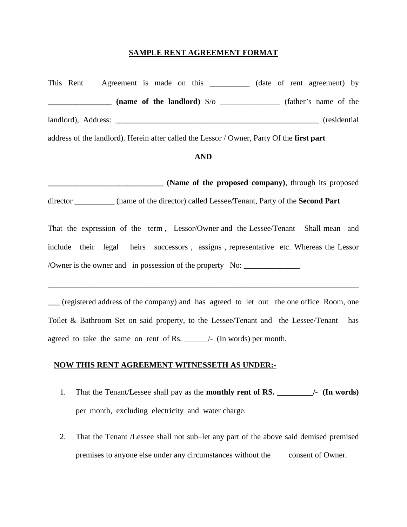## **SAMPLE RENT AGREEMENT FORMAT**

This Rent Agreement is made on this **\_\_\_\_\_\_\_\_\_\_** (date of rent agreement) by **Example 10 and S** and **contained and S** and **C** and **C** and **C** and **C** and **C** and **C** and **C** and **C** and **C** and **C** and **C** and **C** and **C** and **C** and **C** and **C** and **C** and **C** and **C** and **C** and **C** and **C** and landlord), Address: **\_\_\_\_\_\_\_\_\_\_\_\_\_\_\_\_\_\_\_\_\_\_\_\_\_\_\_\_\_\_\_\_\_\_\_\_\_\_\_\_\_\_\_\_\_\_\_\_\_\_\_** (residential

address of the landlord). Herein after called the Lessor / Owner, Party Of the **first part**

## **AND**

**\_\_\_\_\_\_\_\_\_\_\_\_\_\_\_\_\_\_\_\_\_\_\_\_\_\_\_\_\_ (Name of the proposed company)**, through its proposed director \_\_\_\_\_\_\_\_\_\_ (name of the director) called Lessee/Tenant, Party of the **Second Part**

That the expression of the term , Lessor/Owner and the Lessee/Tenant Shall mean and include their legal heirs successors , assigns , representative etc. Whereas the Lessor /Owner is the owner and in possession of the property No: **\_\_\_\_\_\_\_\_\_\_\_\_\_\_**

**\_\_\_** (registered address of the company) and has agreed to let out the one office Room, one Toilet & Bathroom Set on said property, to the Lessee/Tenant and the Lessee/Tenant has agreed to take the same on rent of Rs. \_\_\_\_\_\_/- (In words) per month.

**\_\_\_\_\_\_\_\_\_\_\_\_\_\_\_\_\_\_\_\_\_\_\_\_\_\_\_\_\_\_\_\_\_\_\_\_\_\_\_\_\_\_\_\_\_\_\_\_\_\_\_\_\_\_\_\_\_\_\_\_\_\_\_\_\_\_\_\_\_\_\_\_\_\_\_\_\_\_**

## **NOW THIS RENT AGREEMENT WITNESSETH AS UNDER:-**

- 1. That the Tenant/Lessee shall pay as the **monthly rent of RS.**  $\qquad$  /- (In words) per month, excluding electricity and water charge.
- 2. That the Tenant /Lessee shall not sub–let any part of the above said demised premised premises to anyone else under any circumstances without the consent of Owner.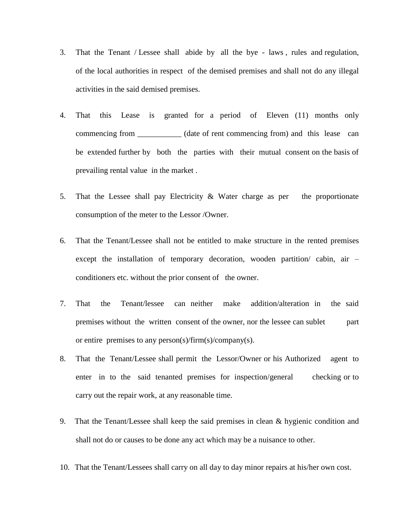- 3. That the Tenant / Lessee shall abide by all the bye laws , rules and regulation, of the local authorities in respect of the demised premises and shall not do any illegal activities in the said demised premises.
- 4. That this Lease is granted for a period of Eleven (11) months only commencing from \_\_\_\_\_\_\_\_\_\_\_ (date of rent commencing from) and this lease can be extended further by both the parties with their mutual consent on the basis of prevailing rental value in the market .
- 5. That the Lessee shall pay Electricity & Water charge as per the proportionate consumption of the meter to the Lessor /Owner.
- 6. That the Tenant/Lessee shall not be entitled to make structure in the rented premises except the installation of temporary decoration, wooden partition/ cabin, air – conditioners etc. without the prior consent of the owner.
- 7. That the Tenant/lessee can neither make addition/alteration in the said premises without the written consent of the owner, nor the lessee can sublet part or entire premises to any person(s)/firm(s)/company(s).
- 8. That the Tenant/Lessee shall permit the Lessor/Owner or his Authorized agent to enter in to the said tenanted premises for inspection/general checking or to carry out the repair work, at any reasonable time.
- 9. That the Tenant/Lessee shall keep the said premises in clean & hygienic condition and shall not do or causes to be done any act which may be a nuisance to other.
- 10. That the Tenant/Lessees shall carry on all day to day minor repairs at his/her own cost.